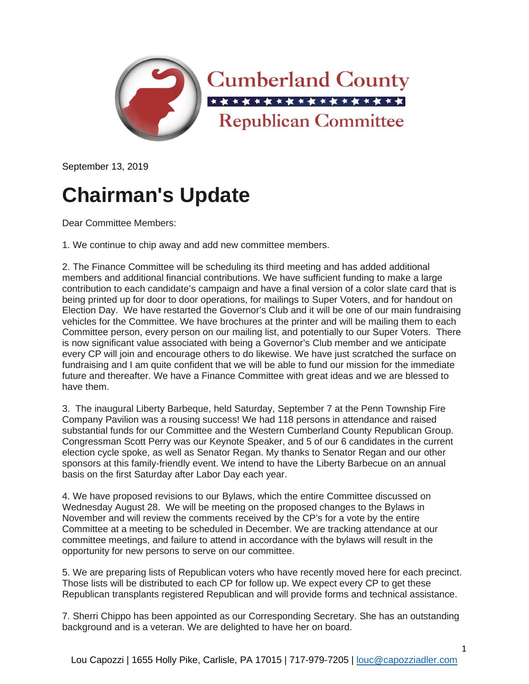

September 13, 2019

## **Chairman's Update**

Dear Committee Members:

1. We continue to chip away and add new committee members.

2. The Finance Committee will be scheduling its third meeting and has added additional members and additional financial contributions. We have sufficient funding to make a large contribution to each candidate's campaign and have a final version of a color slate card that is being printed up for door to door operations, for mailings to Super Voters, and for handout on Election Day. We have restarted the Governor's Club and it will be one of our main fundraising vehicles for the Committee. We have brochures at the printer and will be mailing them to each Committee person, every person on our mailing list, and potentially to our Super Voters. There is now significant value associated with being a Governor's Club member and we anticipate every CP will join and encourage others to do likewise. We have just scratched the surface on fundraising and I am quite confident that we will be able to fund our mission for the immediate future and thereafter. We have a Finance Committee with great ideas and we are blessed to have them.

3. The inaugural Liberty Barbeque, held Saturday, September 7 at the Penn Township Fire Company Pavilion was a rousing success! We had 118 persons in attendance and raised substantial funds for our Committee and the Western Cumberland County Republican Group. Congressman Scott Perry was our Keynote Speaker, and 5 of our 6 candidates in the current election cycle spoke, as well as Senator Regan. My thanks to Senator Regan and our other sponsors at this family-friendly event. We intend to have the Liberty Barbecue on an annual basis on the first Saturday after Labor Day each year.

4. We have proposed revisions to our Bylaws, which the entire Committee discussed on Wednesday August 28. We will be meeting on the proposed changes to the Bylaws in November and will review the comments received by the CP's for a vote by the entire Committee at a meeting to be scheduled in December. We are tracking attendance at our committee meetings, and failure to attend in accordance with the bylaws will result in the opportunity for new persons to serve on our committee.

5. We are preparing lists of Republican voters who have recently moved here for each precinct. Those lists will be distributed to each CP for follow up. We expect every CP to get these Republican transplants registered Republican and will provide forms and technical assistance.

7. Sherri Chippo has been appointed as our Corresponding Secretary. She has an outstanding background and is a veteran. We are delighted to have her on board.